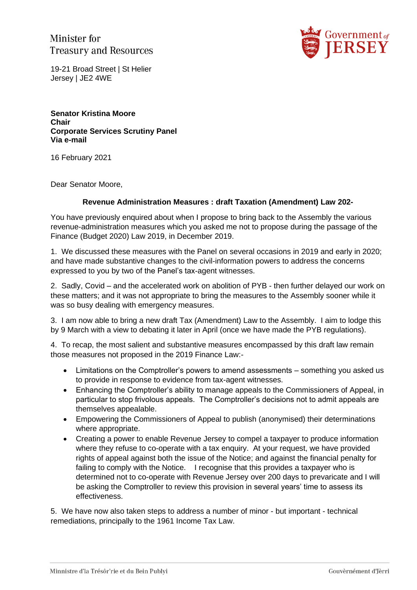Minister for **Treasury and Resources** 



19-21 Broad Street | St Helier Jersey | JE2 4WE

**Senator Kristina Moore Chair Corporate Services Scrutiny Panel Via e-mail**

16 February 2021

Dear Senator Moore,

## **Revenue Administration Measures : draft Taxation (Amendment) Law 202-**

You have previously enquired about when I propose to bring back to the Assembly the various revenue-administration measures which you asked me not to propose during the passage of the Finance (Budget 2020) Law 2019, in December 2019.

1. We discussed these measures with the Panel on several occasions in 2019 and early in 2020; and have made substantive changes to the civil-information powers to address the concerns expressed to you by two of the Panel's tax-agent witnesses.

2. Sadly, Covid – and the accelerated work on abolition of PYB - then further delayed our work on these matters; and it was not appropriate to bring the measures to the Assembly sooner while it was so busy dealing with emergency measures.

3. I am now able to bring a new draft Tax (Amendment) Law to the Assembly. I aim to lodge this by 9 March with a view to debating it later in April (once we have made the PYB regulations).

4. To recap, the most salient and substantive measures encompassed by this draft law remain those measures not proposed in the 2019 Finance Law:-

- Limitations on the Comptroller's powers to amend assessments something you asked us to provide in response to evidence from tax-agent witnesses.
- Enhancing the Comptroller's ability to manage appeals to the Commissioners of Appeal, in particular to stop frivolous appeals. The Comptroller's decisions not to admit appeals are themselves appealable.
- Empowering the Commissioners of Appeal to publish (anonymised) their determinations where appropriate.
- Creating a power to enable Revenue Jersey to compel a taxpayer to produce information where they refuse to co-operate with a tax enquiry. At your request, we have provided rights of appeal against both the issue of the Notice; and against the financial penalty for failing to comply with the Notice. I recognise that this provides a taxpayer who is determined not to co-operate with Revenue Jersey over 200 days to prevaricate and I will be asking the Comptroller to review this provision in several years' time to assess its effectiveness.

5. We have now also taken steps to address a number of minor - but important - technical remediations, principally to the 1961 Income Tax Law.